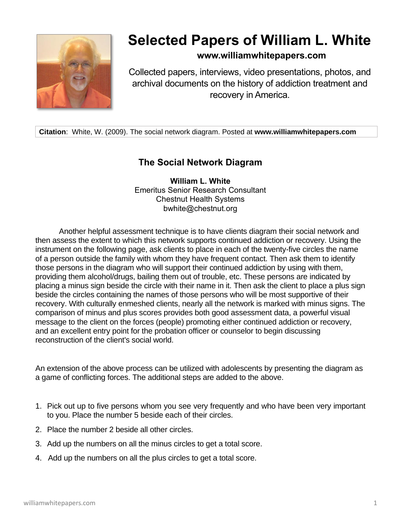

## **Selected Papers of William L. White**

## **www.williamwhitepapers.com**

Collected papers, interviews, video presentations, photos, and archival documents on the history of addiction treatment and recovery in America.

**Citation**: White, W. (2009). The social network diagram. Posted at **www.williamwhitepapers.com**

## **The Social Network Diagram**

**William L. White** Emeritus Senior Research Consultant Chestnut Health Systems bwhite@chestnut.org

Another helpful assessment technique is to have clients diagram their social network and then assess the extent to which this network supports continued addiction or recovery. Using the instrument on the following page, ask clients to place in each of the twenty-five circles the name of a person outside the family with whom they have frequent contact. Then ask them to identify those persons in the diagram who will support their continued addiction by using with them, providing them alcohol/drugs, bailing them out of trouble, etc. These persons are indicated by placing a minus sign beside the circle with their name in it. Then ask the client to place a plus sign beside the circles containing the names of those persons who will be most supportive of their recovery. With culturally enmeshed clients, nearly all the network is marked with minus signs. The comparison of minus and plus scores provides both good assessment data, a powerful visual message to the client on the forces (people) promoting either continued addiction or recovery, and an excellent entry point for the probation officer or counselor to begin discussing reconstruction of the client's social world.

An extension of the above process can be utilized with adolescents by presenting the diagram as a game of conflicting forces. The additional steps are added to the above.

- 1. Pick out up to five persons whom you see very frequently and who have been very important to you. Place the number 5 beside each of their circles.
- 2. Place the number 2 beside all other circles.
- 3. Add up the numbers on all the minus circles to get a total score.
- 4. Add up the numbers on all the plus circles to get a total score.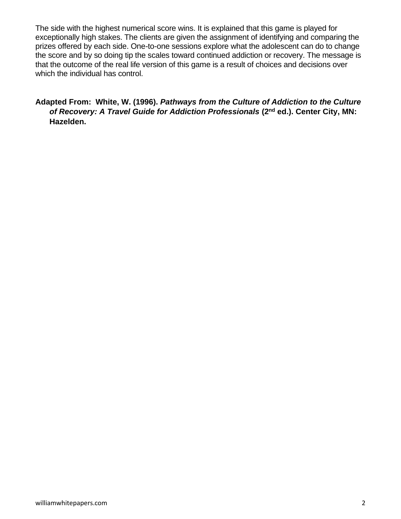The side with the highest numerical score wins. It is explained that this game is played for exceptionally high stakes. The clients are given the assignment of identifying and comparing the prizes offered by each side. One-to-one sessions explore what the adolescent can do to change the score and by so doing tip the scales toward continued addiction or recovery. The message is that the outcome of the real life version of this game is a result of choices and decisions over which the individual has control.

## **Adapted From: White, W. (1996).** *Pathways from the Culture of Addiction to the Culture of Recovery: A Travel Guide for Addiction Professionals (2<sup>nd</sup> ed.). Center City, MN:* **Hazelden.**